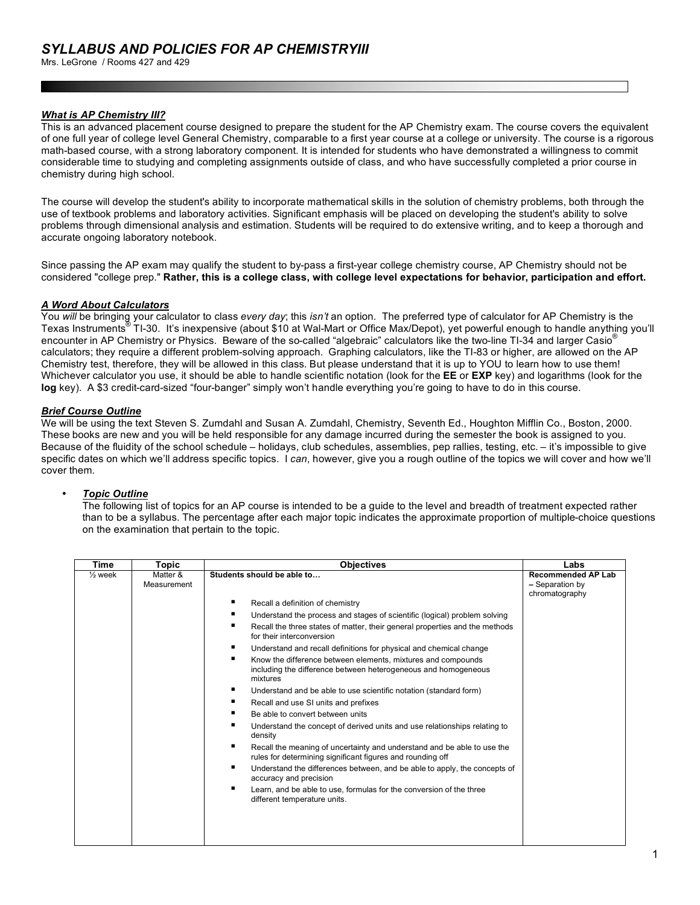Mrs. LeGrone / Rooms 427 and 429

## *What is AP Chemistry III?*

This is an advanced placement course designed to prepare the student for the AP Chemistry exam. The course covers the equivalent of one full year of college level General Chemistry, comparable to a first year course at a college or university. The course is a rigorous math-based course, with a strong laboratory component. It is intended for students who have demonstrated a willingness to commit considerable time to studying and completing assignments outside of class, and who have successfully completed a prior course in chemistry during high school.

The course will develop the student's ability to incorporate mathematical skills in the solution of chemistry problems, both through the use of textbook problems and laboratory activities. Significant emphasis will be placed on developing the student's ability to solve problems through dimensional analysis and estimation. Students will be required to do extensive writing, and to keep a thorough and accurate ongoing laboratory notebook.

Since passing the AP exam may qualify the student to by-pass a first-year college chemistry course, AP Chemistry should not be considered "college prep." **Rather, this is a college class, with college level expectations for behavior, participation and effort.**

## *A Word About Calculators*

You *will* be bringing your calculator to class *every day*; this *isn't* an option. The preferred type of calculator for AP Chemistry is the Texas Instruments® TI-30. It's inexpensive (about \$10 at Wal-Mart or Office Max/Depot), yet powerful enough to handle anything you'll encounter in AP Chemistry or Physics. Beware of the so-called "algebraic" calculators like the two-line TI-34 and larger Casio® calculators; they require a different problem-solving approach. Graphing calculators, like the TI-83 or higher, are allowed on the AP Chemistry test, therefore, they will be allowed in this class. But please understand that it is up to YOU to learn how to use them! Whichever calculator you use, it should be able to handle scientific notation (look for the **EE** or **EXP** key) and logarithms (look for the **log** key). A \$3 credit-card-sized "four-banger" simply won't handle everything you're going to have to do in this course.

## *Brief Course Outline*

We will be using the text Steven S. Zumdahl and Susan A. Zumdahl, Chemistry, Seventh Ed., Houghton Mifflin Co., Boston, 2000. These books are new and you will be held responsible for any damage incurred during the semester the book is assigned to you. Because of the fluidity of the school schedule – holidays, club schedules, assemblies, pep rallies, testing, etc. – it's impossible to give specific dates on which we'll address specific topics. I *can*, however, give you a rough outline of the topics we will cover and how we'll cover them.

#### • *Topic Outline*

The following list of topics for an AP course is intended to be a guide to the level and breadth of treatment expected rather than to be a syllabus. The percentage after each major topic indicates the approximate proportion of multiple-choice questions on the examination that pertain to the topic.

| <b>Time</b>        | Topic                   | <b>Objectives</b>                                                                                                                               | Labs                                                           |
|--------------------|-------------------------|-------------------------------------------------------------------------------------------------------------------------------------------------|----------------------------------------------------------------|
| $\frac{1}{2}$ week | Matter &<br>Measurement | Students should be able to                                                                                                                      | <b>Recommended AP Lab</b><br>- Separation by<br>chromatography |
|                    |                         | ٠<br>Recall a definition of chemistry                                                                                                           |                                                                |
|                    |                         | ٠<br>Understand the process and stages of scientific (logical) problem solving                                                                  |                                                                |
|                    |                         | ٠<br>Recall the three states of matter, their general properties and the methods<br>for their interconversion                                   |                                                                |
|                    |                         | ٠<br>Understand and recall definitions for physical and chemical change                                                                         |                                                                |
|                    |                         | ٠<br>Know the difference between elements, mixtures and compounds<br>including the difference between heterogeneous and homogeneous<br>mixtures |                                                                |
|                    |                         | ٠<br>Understand and be able to use scientific notation (standard form)                                                                          |                                                                |
|                    |                         | ٠<br>Recall and use SI units and prefixes                                                                                                       |                                                                |
|                    |                         | Be able to convert between units                                                                                                                |                                                                |
|                    |                         | ٠<br>Understand the concept of derived units and use relationships relating to<br>density                                                       |                                                                |
|                    |                         | ٠<br>Recall the meaning of uncertainty and understand and be able to use the<br>rules for determining significant figures and rounding off      |                                                                |
|                    |                         | ٠<br>Understand the differences between, and be able to apply, the concepts of<br>accuracy and precision                                        |                                                                |
|                    |                         | Learn, and be able to use, formulas for the conversion of the three<br>different temperature units.                                             |                                                                |
|                    |                         |                                                                                                                                                 |                                                                |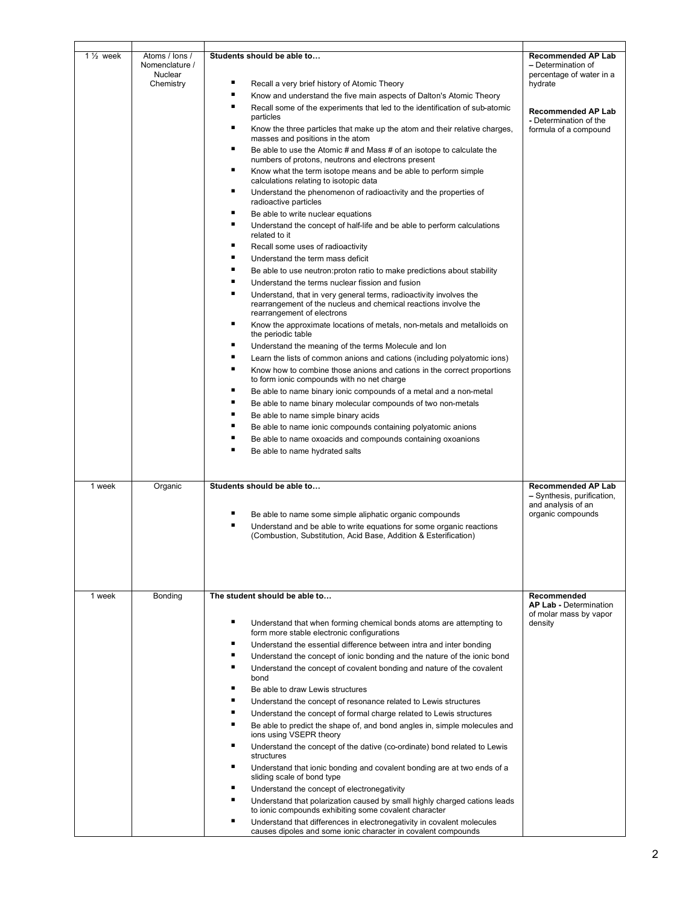| $1\frac{1}{2}$ week | Atoms / lons /<br>Nomenclature /<br>Nuclear | Students should be able to                                                                                                                                          | <b>Recommended AP Lab</b><br>- Determination of<br>percentage of water in a   |  |
|---------------------|---------------------------------------------|---------------------------------------------------------------------------------------------------------------------------------------------------------------------|-------------------------------------------------------------------------------|--|
|                     | Chemistry                                   | ٠<br>Recall a very brief history of Atomic Theory                                                                                                                   | hydrate                                                                       |  |
|                     |                                             | ٠<br>Know and understand the five main aspects of Dalton's Atomic Theory                                                                                            |                                                                               |  |
|                     |                                             | ٠<br>Recall some of the experiments that led to the identification of sub-atomic<br>particles                                                                       | <b>Recommended AP Lab</b><br>- Determination of the                           |  |
|                     |                                             | ٠<br>Know the three particles that make up the atom and their relative charges,<br>masses and positions in the atom                                                 | formula of a compound                                                         |  |
|                     |                                             | ٠<br>Be able to use the Atomic # and Mass # of an isotope to calculate the<br>numbers of protons, neutrons and electrons present                                    |                                                                               |  |
|                     |                                             | ٠<br>Know what the term isotope means and be able to perform simple<br>calculations relating to isotopic data                                                       |                                                                               |  |
|                     |                                             | ٠<br>Understand the phenomenon of radioactivity and the properties of<br>radioactive particles                                                                      |                                                                               |  |
|                     |                                             | ٠<br>Be able to write nuclear equations<br>٠<br>Understand the concept of half-life and be able to perform calculations<br>related to it                            |                                                                               |  |
|                     |                                             | ٠<br>Recall some uses of radioactivity                                                                                                                              |                                                                               |  |
|                     |                                             | ٠<br>Understand the term mass deficit                                                                                                                               |                                                                               |  |
|                     |                                             | ٠<br>Be able to use neutron: proton ratio to make predictions about stability                                                                                       |                                                                               |  |
|                     |                                             | ٠<br>Understand the terms nuclear fission and fusion<br>٠                                                                                                           |                                                                               |  |
|                     |                                             | Understand, that in very general terms, radioactivity involves the<br>rearrangement of the nucleus and chemical reactions involve the<br>rearrangement of electrons |                                                                               |  |
|                     |                                             | ٠<br>Know the approximate locations of metals, non-metals and metalloids on<br>the periodic table                                                                   |                                                                               |  |
|                     |                                             | ٠<br>Understand the meaning of the terms Molecule and Ion                                                                                                           |                                                                               |  |
|                     |                                             | ٠<br>Learn the lists of common anions and cations (including polyatomic ions)                                                                                       |                                                                               |  |
|                     |                                             | ٠<br>Know how to combine those anions and cations in the correct proportions<br>to form ionic compounds with no net charge                                          |                                                                               |  |
|                     |                                             | ٠<br>Be able to name binary ionic compounds of a metal and a non-metal                                                                                              |                                                                               |  |
|                     |                                             | ٠<br>Be able to name binary molecular compounds of two non-metals                                                                                                   |                                                                               |  |
|                     |                                             | ٠<br>Be able to name simple binary acids                                                                                                                            |                                                                               |  |
|                     |                                             | ■<br>Be able to name ionic compounds containing polyatomic anions                                                                                                   |                                                                               |  |
|                     |                                             | ٠<br>Be able to name oxoacids and compounds containing oxoanions                                                                                                    |                                                                               |  |
|                     |                                             | п<br>Be able to name hydrated salts                                                                                                                                 |                                                                               |  |
|                     |                                             |                                                                                                                                                                     |                                                                               |  |
|                     |                                             |                                                                                                                                                                     |                                                                               |  |
| 1 week              | Organic                                     | Students should be able to                                                                                                                                          | <b>Recommended AP Lab</b><br>- Synthesis, purification,<br>and analysis of an |  |
|                     |                                             | ٠<br>Be able to name some simple aliphatic organic compounds                                                                                                        | organic compounds                                                             |  |
|                     |                                             | ٠<br>Understand and be able to write equations for some organic reactions<br>(Combustion, Substitution, Acid Base, Addition & Esterification)                       |                                                                               |  |
|                     |                                             |                                                                                                                                                                     |                                                                               |  |
| 1 week              | Bonding                                     | The student should be able to                                                                                                                                       | Recommended<br><b>AP Lab - Determination</b>                                  |  |
|                     |                                             | ٠<br>Understand that when forming chemical bonds atoms are attempting to<br>form more stable electronic configurations                                              | of molar mass by vapor<br>density                                             |  |
|                     |                                             | ٠<br>Understand the essential difference between intra and inter bonding                                                                                            |                                                                               |  |
|                     |                                             | ٠<br>Understand the concept of ionic bonding and the nature of the ionic bond                                                                                       |                                                                               |  |
|                     |                                             | ٠<br>Understand the concept of covalent bonding and nature of the covalent                                                                                          |                                                                               |  |
|                     |                                             | bond                                                                                                                                                                |                                                                               |  |
|                     |                                             | ٠<br>Be able to draw Lewis structures                                                                                                                               |                                                                               |  |
|                     |                                             | Understand the concept of resonance related to Lewis structures                                                                                                     |                                                                               |  |
|                     |                                             | ٠<br>Understand the concept of formal charge related to Lewis structures                                                                                            |                                                                               |  |
|                     |                                             | Be able to predict the shape of, and bond angles in, simple molecules and<br>ions using VSEPR theory                                                                |                                                                               |  |
|                     |                                             | ٠<br>Understand the concept of the dative (co-ordinate) bond related to Lewis<br>structures                                                                         |                                                                               |  |
|                     |                                             | ٠<br>Understand that ionic bonding and covalent bonding are at two ends of a<br>sliding scale of bond type                                                          |                                                                               |  |
|                     |                                             | ٠<br>Understand the concept of electronegativity                                                                                                                    |                                                                               |  |
|                     |                                             | Understand that polarization caused by small highly charged cations leads                                                                                           |                                                                               |  |
|                     |                                             | to ionic compounds exhibiting some covalent character<br>٠<br>Understand that differences in electronegativity in covalent molecules                                |                                                                               |  |
|                     |                                             | causes dipoles and some ionic character in covalent compounds                                                                                                       |                                                                               |  |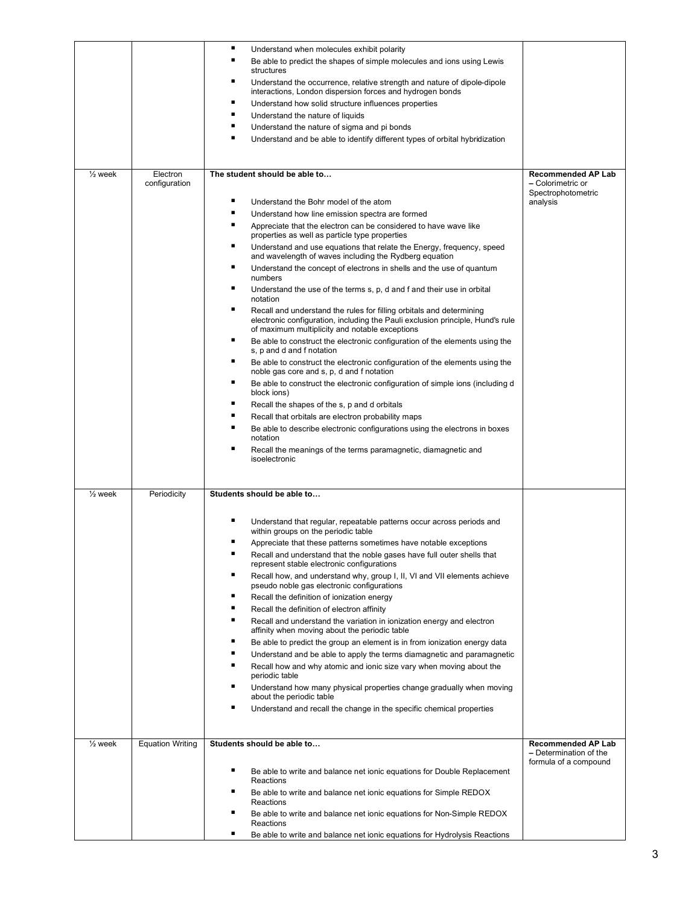|                    |                           | ٠<br>Understand when molecules exhibit polarity<br>п<br>Be able to predict the shapes of simple molecules and ions using Lewis                                                                                |                                                                      |
|--------------------|---------------------------|---------------------------------------------------------------------------------------------------------------------------------------------------------------------------------------------------------------|----------------------------------------------------------------------|
|                    |                           | structures                                                                                                                                                                                                    |                                                                      |
|                    |                           | ٠<br>Understand the occurrence, relative strength and nature of dipole-dipole<br>interactions, London dispersion forces and hydrogen bonds                                                                    |                                                                      |
|                    |                           | ٠<br>Understand how solid structure influences properties                                                                                                                                                     |                                                                      |
|                    |                           | п<br>Understand the nature of liquids                                                                                                                                                                         |                                                                      |
|                    |                           | п<br>Understand the nature of sigma and pi bonds                                                                                                                                                              |                                                                      |
|                    |                           | Understand and be able to identify different types of orbital hybridization                                                                                                                                   |                                                                      |
|                    |                           |                                                                                                                                                                                                               |                                                                      |
| $\frac{1}{2}$ week | Electron<br>configuration | The student should be able to                                                                                                                                                                                 | <b>Recommended AP Lab</b><br>- Colorimetric or<br>Spectrophotometric |
|                    |                           | ٠<br>Understand the Bohr model of the atom                                                                                                                                                                    | analysis                                                             |
|                    |                           | Understand how line emission spectra are formed                                                                                                                                                               |                                                                      |
|                    |                           | ٠<br>Appreciate that the electron can be considered to have wave like<br>properties as well as particle type properties                                                                                       |                                                                      |
|                    |                           | ٠<br>Understand and use equations that relate the Energy, frequency, speed<br>and wavelength of waves including the Rydberg equation                                                                          |                                                                      |
|                    |                           | ٠<br>Understand the concept of electrons in shells and the use of quantum<br>numbers                                                                                                                          |                                                                      |
|                    |                           | ٠<br>Understand the use of the terms s, p, d and f and their use in orbital<br>notation                                                                                                                       |                                                                      |
|                    |                           | п<br>Recall and understand the rules for filling orbitals and determining<br>electronic configuration, including the Pauli exclusion principle, Hund's rule<br>of maximum multiplicity and notable exceptions |                                                                      |
|                    |                           | ٠<br>Be able to construct the electronic configuration of the elements using the<br>s, p and d and f notation                                                                                                 |                                                                      |
|                    |                           | ٠<br>Be able to construct the electronic configuration of the elements using the<br>noble gas core and s, p, d and f notation                                                                                 |                                                                      |
|                    |                           | ٠<br>Be able to construct the electronic configuration of simple ions (including d<br>block ions)                                                                                                             |                                                                      |
|                    |                           | ■<br>Recall the shapes of the s, p and d orbitals                                                                                                                                                             |                                                                      |
|                    |                           | Recall that orbitals are electron probability maps                                                                                                                                                            |                                                                      |
|                    |                           | п<br>Be able to describe electronic configurations using the electrons in boxes<br>notation                                                                                                                   |                                                                      |
|                    |                           | п<br>Recall the meanings of the terms paramagnetic, diamagnetic and                                                                                                                                           |                                                                      |
|                    |                           | isoelectronic                                                                                                                                                                                                 |                                                                      |
| $\frac{1}{2}$ week | Periodicity               | Students should be able to                                                                                                                                                                                    |                                                                      |
|                    |                           | ٠<br>Understand that regular, repeatable patterns occur across periods and                                                                                                                                    |                                                                      |
|                    |                           | within groups on the periodic table                                                                                                                                                                           |                                                                      |
|                    |                           | Appreciate that these patterns sometimes have notable exceptions<br>Recall and understand that the noble gases have full outer shells that                                                                    |                                                                      |
|                    |                           | represent stable electronic configurations                                                                                                                                                                    |                                                                      |
|                    |                           | ▪<br>Recall how, and understand why, group I, II, VI and VII elements achieve<br>pseudo noble gas electronic configurations                                                                                   |                                                                      |
|                    |                           | ٠<br>Recall the definition of ionization energy                                                                                                                                                               |                                                                      |
|                    |                           | ٠<br>Recall the definition of electron affinity                                                                                                                                                               |                                                                      |
|                    |                           | ▪<br>Recall and understand the variation in ionization energy and electron<br>affinity when moving about the periodic table                                                                                   |                                                                      |
|                    |                           | ٠<br>Be able to predict the group an element is in from ionization energy data                                                                                                                                |                                                                      |
|                    |                           | п<br>Understand and be able to apply the terms diamagnetic and paramagnetic                                                                                                                                   |                                                                      |
|                    |                           | п<br>Recall how and why atomic and ionic size vary when moving about the                                                                                                                                      |                                                                      |
|                    |                           | periodic table<br>٠<br>Understand how many physical properties change gradually when moving                                                                                                                   |                                                                      |
|                    |                           | about the periodic table                                                                                                                                                                                      |                                                                      |
|                    |                           | ٠<br>Understand and recall the change in the specific chemical properties                                                                                                                                     |                                                                      |
| $\frac{1}{2}$ week | <b>Equation Writing</b>   | Students should be able to                                                                                                                                                                                    | <b>Recommended AP Lab</b>                                            |
|                    |                           |                                                                                                                                                                                                               | - Determination of the<br>formula of a compound                      |
|                    |                           | ٠<br>Be able to write and balance net ionic equations for Double Replacement<br>Reactions                                                                                                                     |                                                                      |
|                    |                           | ٠<br>Be able to write and balance net ionic equations for Simple REDOX<br>Reactions                                                                                                                           |                                                                      |
|                    |                           | ■<br>Be able to write and balance net ionic equations for Non-Simple REDOX<br>Reactions                                                                                                                       |                                                                      |
|                    |                           | Be able to write and balance net ionic equations for Hydrolysis Reactions                                                                                                                                     |                                                                      |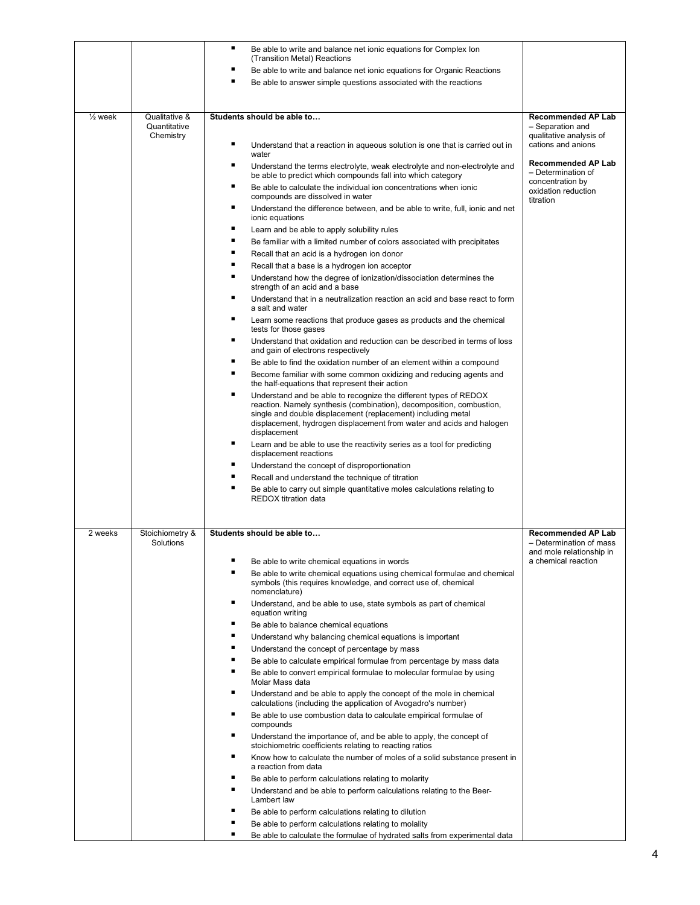| (Transition Metal) Reactions<br>Be able to write and balance net ionic equations for Organic Reactions<br>п<br>Be able to answer simple questions associated with the reactions<br>$\frac{1}{2}$ week<br>Qualitative &<br>Students should be able to<br><b>Recommended AP Lab</b><br>Quantitative<br>- Separation and<br>Chemistry<br>qualitative analysis of<br>٠<br>cations and anions<br>Understand that a reaction in aqueous solution is one that is carried out in<br>water<br><b>Recommended AP Lab</b><br>٠<br>Understand the terms electrolyte, weak electrolyte and non-electrolyte and<br>- Determination of<br>be able to predict which compounds fall into which category<br>concentration by<br>٠<br>Be able to calculate the individual ion concentrations when ionic<br>oxidation reduction<br>compounds are dissolved in water<br>titration<br>٠<br>Understand the difference between, and be able to write, full, ionic and net<br>ionic equations<br>٠<br>Learn and be able to apply solubility rules<br>٠<br>Be familiar with a limited number of colors associated with precipitates<br>٠<br>Recall that an acid is a hydrogen ion donor<br>٠<br>Recall that a base is a hydrogen ion acceptor<br>п<br>Understand how the degree of ionization/dissociation determines the<br>strength of an acid and a base |
|-----------------------------------------------------------------------------------------------------------------------------------------------------------------------------------------------------------------------------------------------------------------------------------------------------------------------------------------------------------------------------------------------------------------------------------------------------------------------------------------------------------------------------------------------------------------------------------------------------------------------------------------------------------------------------------------------------------------------------------------------------------------------------------------------------------------------------------------------------------------------------------------------------------------------------------------------------------------------------------------------------------------------------------------------------------------------------------------------------------------------------------------------------------------------------------------------------------------------------------------------------------------------------------------------------------------------------------|
|                                                                                                                                                                                                                                                                                                                                                                                                                                                                                                                                                                                                                                                                                                                                                                                                                                                                                                                                                                                                                                                                                                                                                                                                                                                                                                                                   |
|                                                                                                                                                                                                                                                                                                                                                                                                                                                                                                                                                                                                                                                                                                                                                                                                                                                                                                                                                                                                                                                                                                                                                                                                                                                                                                                                   |
|                                                                                                                                                                                                                                                                                                                                                                                                                                                                                                                                                                                                                                                                                                                                                                                                                                                                                                                                                                                                                                                                                                                                                                                                                                                                                                                                   |
|                                                                                                                                                                                                                                                                                                                                                                                                                                                                                                                                                                                                                                                                                                                                                                                                                                                                                                                                                                                                                                                                                                                                                                                                                                                                                                                                   |
|                                                                                                                                                                                                                                                                                                                                                                                                                                                                                                                                                                                                                                                                                                                                                                                                                                                                                                                                                                                                                                                                                                                                                                                                                                                                                                                                   |
|                                                                                                                                                                                                                                                                                                                                                                                                                                                                                                                                                                                                                                                                                                                                                                                                                                                                                                                                                                                                                                                                                                                                                                                                                                                                                                                                   |
|                                                                                                                                                                                                                                                                                                                                                                                                                                                                                                                                                                                                                                                                                                                                                                                                                                                                                                                                                                                                                                                                                                                                                                                                                                                                                                                                   |
|                                                                                                                                                                                                                                                                                                                                                                                                                                                                                                                                                                                                                                                                                                                                                                                                                                                                                                                                                                                                                                                                                                                                                                                                                                                                                                                                   |
|                                                                                                                                                                                                                                                                                                                                                                                                                                                                                                                                                                                                                                                                                                                                                                                                                                                                                                                                                                                                                                                                                                                                                                                                                                                                                                                                   |
|                                                                                                                                                                                                                                                                                                                                                                                                                                                                                                                                                                                                                                                                                                                                                                                                                                                                                                                                                                                                                                                                                                                                                                                                                                                                                                                                   |
|                                                                                                                                                                                                                                                                                                                                                                                                                                                                                                                                                                                                                                                                                                                                                                                                                                                                                                                                                                                                                                                                                                                                                                                                                                                                                                                                   |
|                                                                                                                                                                                                                                                                                                                                                                                                                                                                                                                                                                                                                                                                                                                                                                                                                                                                                                                                                                                                                                                                                                                                                                                                                                                                                                                                   |
|                                                                                                                                                                                                                                                                                                                                                                                                                                                                                                                                                                                                                                                                                                                                                                                                                                                                                                                                                                                                                                                                                                                                                                                                                                                                                                                                   |
|                                                                                                                                                                                                                                                                                                                                                                                                                                                                                                                                                                                                                                                                                                                                                                                                                                                                                                                                                                                                                                                                                                                                                                                                                                                                                                                                   |
|                                                                                                                                                                                                                                                                                                                                                                                                                                                                                                                                                                                                                                                                                                                                                                                                                                                                                                                                                                                                                                                                                                                                                                                                                                                                                                                                   |
|                                                                                                                                                                                                                                                                                                                                                                                                                                                                                                                                                                                                                                                                                                                                                                                                                                                                                                                                                                                                                                                                                                                                                                                                                                                                                                                                   |
|                                                                                                                                                                                                                                                                                                                                                                                                                                                                                                                                                                                                                                                                                                                                                                                                                                                                                                                                                                                                                                                                                                                                                                                                                                                                                                                                   |
| ٠<br>Understand that in a neutralization reaction an acid and base react to form<br>a salt and water                                                                                                                                                                                                                                                                                                                                                                                                                                                                                                                                                                                                                                                                                                                                                                                                                                                                                                                                                                                                                                                                                                                                                                                                                              |
| ٠<br>Learn some reactions that produce gases as products and the chemical<br>tests for those gases                                                                                                                                                                                                                                                                                                                                                                                                                                                                                                                                                                                                                                                                                                                                                                                                                                                                                                                                                                                                                                                                                                                                                                                                                                |
| ٠<br>Understand that oxidation and reduction can be described in terms of loss<br>and gain of electrons respectively                                                                                                                                                                                                                                                                                                                                                                                                                                                                                                                                                                                                                                                                                                                                                                                                                                                                                                                                                                                                                                                                                                                                                                                                              |
| ٠<br>Be able to find the oxidation number of an element within a compound                                                                                                                                                                                                                                                                                                                                                                                                                                                                                                                                                                                                                                                                                                                                                                                                                                                                                                                                                                                                                                                                                                                                                                                                                                                         |
| ٠<br>Become familiar with some common oxidizing and reducing agents and                                                                                                                                                                                                                                                                                                                                                                                                                                                                                                                                                                                                                                                                                                                                                                                                                                                                                                                                                                                                                                                                                                                                                                                                                                                           |
| the half-equations that represent their action                                                                                                                                                                                                                                                                                                                                                                                                                                                                                                                                                                                                                                                                                                                                                                                                                                                                                                                                                                                                                                                                                                                                                                                                                                                                                    |
| ٠<br>Understand and be able to recognize the different types of REDOX<br>reaction. Namely synthesis (combination), decomposition, combustion,                                                                                                                                                                                                                                                                                                                                                                                                                                                                                                                                                                                                                                                                                                                                                                                                                                                                                                                                                                                                                                                                                                                                                                                     |
| single and double displacement (replacement) including metal                                                                                                                                                                                                                                                                                                                                                                                                                                                                                                                                                                                                                                                                                                                                                                                                                                                                                                                                                                                                                                                                                                                                                                                                                                                                      |
| displacement, hydrogen displacement from water and acids and halogen<br>displacement                                                                                                                                                                                                                                                                                                                                                                                                                                                                                                                                                                                                                                                                                                                                                                                                                                                                                                                                                                                                                                                                                                                                                                                                                                              |
| ٠<br>Learn and be able to use the reactivity series as a tool for predicting                                                                                                                                                                                                                                                                                                                                                                                                                                                                                                                                                                                                                                                                                                                                                                                                                                                                                                                                                                                                                                                                                                                                                                                                                                                      |
| displacement reactions<br>٠                                                                                                                                                                                                                                                                                                                                                                                                                                                                                                                                                                                                                                                                                                                                                                                                                                                                                                                                                                                                                                                                                                                                                                                                                                                                                                       |
| Understand the concept of disproportionation<br>٠<br>Recall and understand the technique of titration                                                                                                                                                                                                                                                                                                                                                                                                                                                                                                                                                                                                                                                                                                                                                                                                                                                                                                                                                                                                                                                                                                                                                                                                                             |
| Be able to carry out simple quantitative moles calculations relating to                                                                                                                                                                                                                                                                                                                                                                                                                                                                                                                                                                                                                                                                                                                                                                                                                                                                                                                                                                                                                                                                                                                                                                                                                                                           |
| REDOX titration data                                                                                                                                                                                                                                                                                                                                                                                                                                                                                                                                                                                                                                                                                                                                                                                                                                                                                                                                                                                                                                                                                                                                                                                                                                                                                                              |
|                                                                                                                                                                                                                                                                                                                                                                                                                                                                                                                                                                                                                                                                                                                                                                                                                                                                                                                                                                                                                                                                                                                                                                                                                                                                                                                                   |
|                                                                                                                                                                                                                                                                                                                                                                                                                                                                                                                                                                                                                                                                                                                                                                                                                                                                                                                                                                                                                                                                                                                                                                                                                                                                                                                                   |
| 2 weeks<br>Stoichiometry &<br>Students should be able to<br><b>Recommended AP Lab</b>                                                                                                                                                                                                                                                                                                                                                                                                                                                                                                                                                                                                                                                                                                                                                                                                                                                                                                                                                                                                                                                                                                                                                                                                                                             |
| Solutions<br>- Determination of mass<br>and mole relationship in                                                                                                                                                                                                                                                                                                                                                                                                                                                                                                                                                                                                                                                                                                                                                                                                                                                                                                                                                                                                                                                                                                                                                                                                                                                                  |
| a chemical reaction<br>Be able to write chemical equations in words                                                                                                                                                                                                                                                                                                                                                                                                                                                                                                                                                                                                                                                                                                                                                                                                                                                                                                                                                                                                                                                                                                                                                                                                                                                               |
| Be able to write chemical equations using chemical formulae and chemical                                                                                                                                                                                                                                                                                                                                                                                                                                                                                                                                                                                                                                                                                                                                                                                                                                                                                                                                                                                                                                                                                                                                                                                                                                                          |
| symbols (this requires knowledge, and correct use of, chemical<br>nomenclature)                                                                                                                                                                                                                                                                                                                                                                                                                                                                                                                                                                                                                                                                                                                                                                                                                                                                                                                                                                                                                                                                                                                                                                                                                                                   |
| ٠<br>Understand, and be able to use, state symbols as part of chemical                                                                                                                                                                                                                                                                                                                                                                                                                                                                                                                                                                                                                                                                                                                                                                                                                                                                                                                                                                                                                                                                                                                                                                                                                                                            |
| equation writing<br>٠                                                                                                                                                                                                                                                                                                                                                                                                                                                                                                                                                                                                                                                                                                                                                                                                                                                                                                                                                                                                                                                                                                                                                                                                                                                                                                             |
| Be able to balance chemical equations<br>٠<br>Understand why balancing chemical equations is important                                                                                                                                                                                                                                                                                                                                                                                                                                                                                                                                                                                                                                                                                                                                                                                                                                                                                                                                                                                                                                                                                                                                                                                                                            |
| п<br>Understand the concept of percentage by mass                                                                                                                                                                                                                                                                                                                                                                                                                                                                                                                                                                                                                                                                                                                                                                                                                                                                                                                                                                                                                                                                                                                                                                                                                                                                                 |
| п<br>Be able to calculate empirical formulae from percentage by mass data                                                                                                                                                                                                                                                                                                                                                                                                                                                                                                                                                                                                                                                                                                                                                                                                                                                                                                                                                                                                                                                                                                                                                                                                                                                         |
| п<br>Be able to convert empirical formulae to molecular formulae by using                                                                                                                                                                                                                                                                                                                                                                                                                                                                                                                                                                                                                                                                                                                                                                                                                                                                                                                                                                                                                                                                                                                                                                                                                                                         |
| Molar Mass data<br>٠                                                                                                                                                                                                                                                                                                                                                                                                                                                                                                                                                                                                                                                                                                                                                                                                                                                                                                                                                                                                                                                                                                                                                                                                                                                                                                              |
| Understand and be able to apply the concept of the mole in chemical<br>calculations (including the application of Avogadro's number)                                                                                                                                                                                                                                                                                                                                                                                                                                                                                                                                                                                                                                                                                                                                                                                                                                                                                                                                                                                                                                                                                                                                                                                              |
| ٠<br>Be able to use combustion data to calculate empirical formulae of<br>compounds                                                                                                                                                                                                                                                                                                                                                                                                                                                                                                                                                                                                                                                                                                                                                                                                                                                                                                                                                                                                                                                                                                                                                                                                                                               |
| ٠<br>Understand the importance of, and be able to apply, the concept of<br>stoichiometric coefficients relating to reacting ratios                                                                                                                                                                                                                                                                                                                                                                                                                                                                                                                                                                                                                                                                                                                                                                                                                                                                                                                                                                                                                                                                                                                                                                                                |
| ٠<br>Know how to calculate the number of moles of a solid substance present in                                                                                                                                                                                                                                                                                                                                                                                                                                                                                                                                                                                                                                                                                                                                                                                                                                                                                                                                                                                                                                                                                                                                                                                                                                                    |
| a reaction from data<br>٠<br>Be able to perform calculations relating to molarity                                                                                                                                                                                                                                                                                                                                                                                                                                                                                                                                                                                                                                                                                                                                                                                                                                                                                                                                                                                                                                                                                                                                                                                                                                                 |
| п<br>Understand and be able to perform calculations relating to the Beer-                                                                                                                                                                                                                                                                                                                                                                                                                                                                                                                                                                                                                                                                                                                                                                                                                                                                                                                                                                                                                                                                                                                                                                                                                                                         |
| Lambert law                                                                                                                                                                                                                                                                                                                                                                                                                                                                                                                                                                                                                                                                                                                                                                                                                                                                                                                                                                                                                                                                                                                                                                                                                                                                                                                       |
| п<br>Be able to perform calculations relating to dilution<br>Be able to perform calculations relating to molality                                                                                                                                                                                                                                                                                                                                                                                                                                                                                                                                                                                                                                                                                                                                                                                                                                                                                                                                                                                                                                                                                                                                                                                                                 |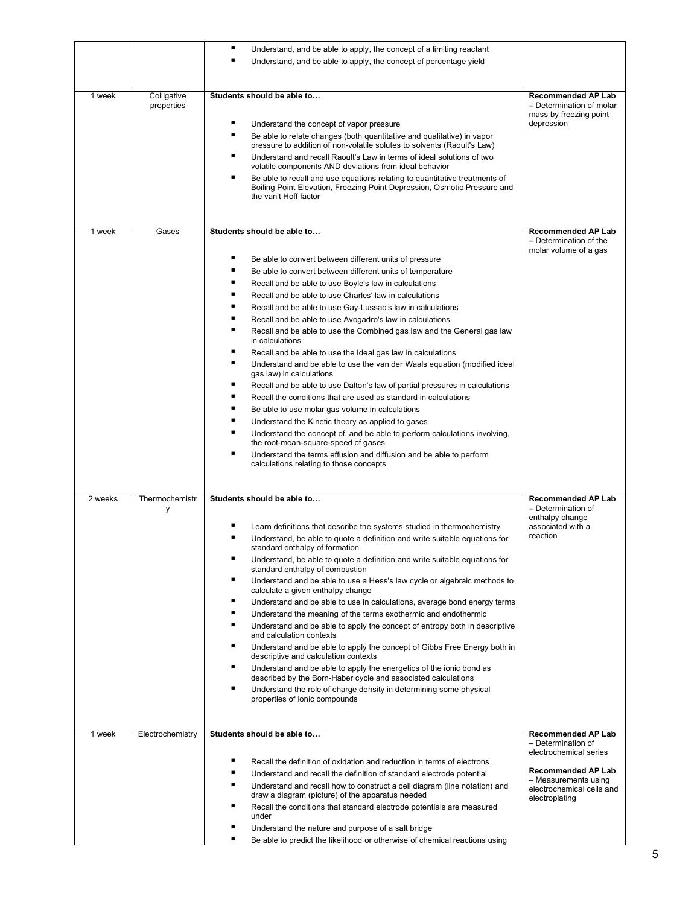|         |                           | ٠<br>Understand, and be able to apply, the concept of a limiting reactant<br>■<br>Understand, and be able to apply, the concept of percentage yield                                                                                                                                                                                                                                                                                                                                                                                                                                                                                                                                                                                                                                                                                                                                                                                                                                                                                                                                                                                                                                                                                     |                                                                                                                                                                        |
|---------|---------------------------|-----------------------------------------------------------------------------------------------------------------------------------------------------------------------------------------------------------------------------------------------------------------------------------------------------------------------------------------------------------------------------------------------------------------------------------------------------------------------------------------------------------------------------------------------------------------------------------------------------------------------------------------------------------------------------------------------------------------------------------------------------------------------------------------------------------------------------------------------------------------------------------------------------------------------------------------------------------------------------------------------------------------------------------------------------------------------------------------------------------------------------------------------------------------------------------------------------------------------------------------|------------------------------------------------------------------------------------------------------------------------------------------------------------------------|
| 1 week  | Colligative<br>properties | Students should be able to<br>Understand the concept of vapor pressure<br>п<br>Be able to relate changes (both quantitative and qualitative) in vapor<br>pressure to addition of non-volatile solutes to solvents (Raoult's Law)<br>п<br>Understand and recall Raoult's Law in terms of ideal solutions of two<br>volatile components AND deviations from ideal behavior<br>٠<br>Be able to recall and use equations relating to quantitative treatments of<br>Boiling Point Elevation, Freezing Point Depression, Osmotic Pressure and<br>the van't Hoff factor                                                                                                                                                                                                                                                                                                                                                                                                                                                                                                                                                                                                                                                                        | <b>Recommended AP Lab</b><br>- Determination of molar<br>mass by freezing point<br>depression                                                                          |
| 1 week  | Gases                     | Students should be able to<br>Be able to convert between different units of pressure<br>∎<br>Be able to convert between different units of temperature<br>∎<br>Recall and be able to use Boyle's law in calculations<br>∎<br>Recall and be able to use Charles' law in calculations<br>∎<br>Recall and be able to use Gay-Lussac's law in calculations<br>∎<br>Recall and be able to use Avogadro's law in calculations<br>∎<br>Recall and be able to use the Combined gas law and the General gas law<br>in calculations<br>п<br>Recall and be able to use the Ideal gas law in calculations<br>п<br>Understand and be able to use the van der Waals equation (modified ideal<br>gas law) in calculations<br>٠<br>Recall and be able to use Dalton's law of partial pressures in calculations<br>٠<br>Recall the conditions that are used as standard in calculations<br>п<br>Be able to use molar gas volume in calculations<br>п<br>Understand the Kinetic theory as applied to gases<br>п<br>Understand the concept of, and be able to perform calculations involving,<br>the root-mean-square-speed of gases<br>■<br>Understand the terms effusion and diffusion and be able to perform<br>calculations relating to those concepts | <b>Recommended AP Lab</b><br>- Determination of the<br>molar volume of a gas                                                                                           |
| 2 weeks | Thermochemistr<br>у       | Students should be able to<br>Learn definitions that describe the systems studied in thermochemistry<br>Understand, be able to quote a definition and write suitable equations for<br>standard enthalpy of formation<br>٠<br>Understand, be able to quote a definition and write suitable equations for<br>standard enthalpy of combustion<br>٠<br>Understand and be able to use a Hess's law cycle or algebraic methods to<br>calculate a given enthalpy change<br>٠<br>Understand and be able to use in calculations, average bond energy terms<br>п<br>Understand the meaning of the terms exothermic and endothermic<br>∎<br>Understand and be able to apply the concept of entropy both in descriptive<br>and calculation contexts<br>٠<br>Understand and be able to apply the concept of Gibbs Free Energy both in<br>descriptive and calculation contexts<br>٠<br>Understand and be able to apply the energetics of the ionic bond as<br>described by the Born-Haber cycle and associated calculations<br>■<br>Understand the role of charge density in determining some physical<br>properties of ionic compounds                                                                                                               | <b>Recommended AP Lab</b><br>- Determination of<br>enthalpy change<br>associated with a<br>reaction                                                                    |
| 1 week  | Electrochemistry          | Students should be able to<br>п<br>Recall the definition of oxidation and reduction in terms of electrons<br>∎<br>Understand and recall the definition of standard electrode potential<br>∎<br>Understand and recall how to construct a cell diagram (line notation) and<br>draw a diagram (picture) of the apparatus needed<br>∎<br>Recall the conditions that standard electrode potentials are measured<br>under<br>∎<br>Understand the nature and purpose of a salt bridge                                                                                                                                                                                                                                                                                                                                                                                                                                                                                                                                                                                                                                                                                                                                                          | <b>Recommended AP Lab</b><br>- Determination of<br>electrochemical series<br>Recommended AP Lab<br>- Measurements using<br>electrochemical cells and<br>electroplating |
|         |                           | ٠<br>Be able to predict the likelihood or otherwise of chemical reactions using                                                                                                                                                                                                                                                                                                                                                                                                                                                                                                                                                                                                                                                                                                                                                                                                                                                                                                                                                                                                                                                                                                                                                         |                                                                                                                                                                        |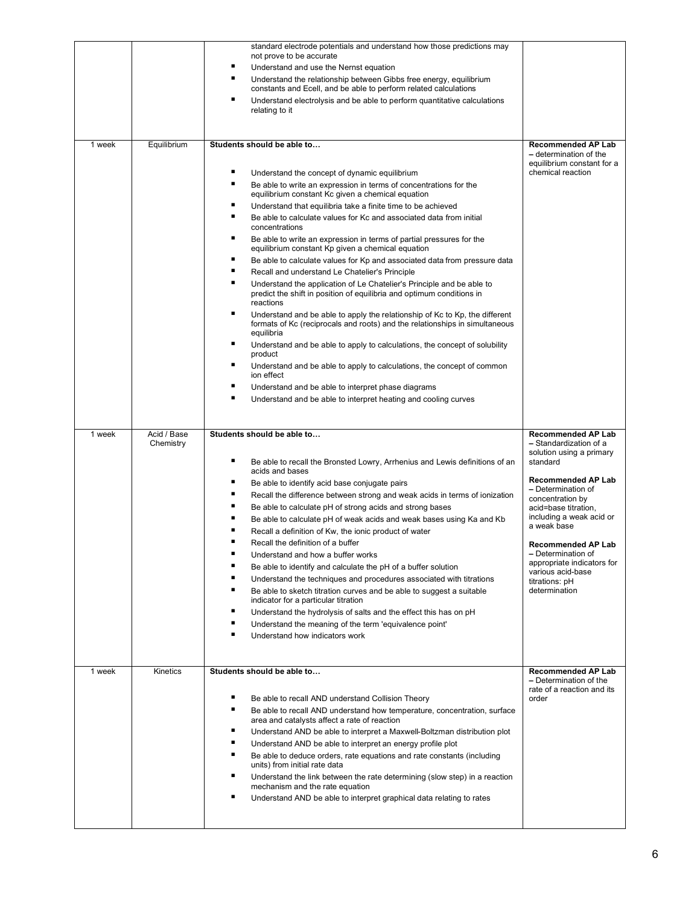|        |                          | standard electrode potentials and understand how those predictions may<br>not prove to be accurate<br>٠<br>Understand and use the Nernst equation<br>٠<br>Understand the relationship between Gibbs free energy, equilibrium<br>constants and Ecell, and be able to perform related calculations<br>٠<br>Understand electrolysis and be able to perform quantitative calculations<br>relating to it                                                                                                                                                                                                                                                                                                                                                                                                                                                                                                                                                                                                                                                                                                                                                                                                                                                                                                                                             |                                                                                                                                                                                                                                                                                                                                                                                |
|--------|--------------------------|-------------------------------------------------------------------------------------------------------------------------------------------------------------------------------------------------------------------------------------------------------------------------------------------------------------------------------------------------------------------------------------------------------------------------------------------------------------------------------------------------------------------------------------------------------------------------------------------------------------------------------------------------------------------------------------------------------------------------------------------------------------------------------------------------------------------------------------------------------------------------------------------------------------------------------------------------------------------------------------------------------------------------------------------------------------------------------------------------------------------------------------------------------------------------------------------------------------------------------------------------------------------------------------------------------------------------------------------------|--------------------------------------------------------------------------------------------------------------------------------------------------------------------------------------------------------------------------------------------------------------------------------------------------------------------------------------------------------------------------------|
| 1 week | Equilibrium              | Students should be able to<br>٠<br>Understand the concept of dynamic equilibrium<br>٠<br>Be able to write an expression in terms of concentrations for the<br>equilibrium constant Kc given a chemical equation<br>٠<br>Understand that equilibria take a finite time to be achieved<br>٠<br>Be able to calculate values for Kc and associated data from initial<br>concentrations<br>٠<br>Be able to write an expression in terms of partial pressures for the<br>equilibrium constant Kp given a chemical equation<br>٠<br>Be able to calculate values for Kp and associated data from pressure data<br>٠<br>Recall and understand Le Chatelier's Principle<br>٠<br>Understand the application of Le Chatelier's Principle and be able to<br>predict the shift in position of equilibria and optimum conditions in<br>reactions<br>٠<br>Understand and be able to apply the relationship of Kc to Kp, the different<br>formats of Kc (reciprocals and roots) and the relationships in simultaneous<br>equilibria<br>٠<br>Understand and be able to apply to calculations, the concept of solubility<br>product<br>٠<br>Understand and be able to apply to calculations, the concept of common<br>ion effect<br>٠<br>Understand and be able to interpret phase diagrams<br>٠<br>Understand and be able to interpret heating and cooling curves | <b>Recommended AP Lab</b><br>- determination of the<br>equilibrium constant for a<br>chemical reaction                                                                                                                                                                                                                                                                         |
| 1 week | Acid / Base<br>Chemistry | Students should be able to<br>٠<br>Be able to recall the Bronsted Lowry, Arrhenius and Lewis definitions of an<br>acids and bases<br>٠<br>Be able to identify acid base conjugate pairs<br>٠<br>Recall the difference between strong and weak acids in terms of ionization<br>٠<br>Be able to calculate pH of strong acids and strong bases<br>٠<br>Be able to calculate pH of weak acids and weak bases using Ka and Kb<br>п<br>Recall a definition of Kw, the ionic product of water<br>٠<br>Recall the definition of a buffer<br>Understand and how a buffer works<br>٠<br>Be able to identify and calculate the pH of a buffer solution<br>٠<br>Understand the techniques and procedures associated with titrations<br>٠<br>Be able to sketch titration curves and be able to suggest a suitable<br>indicator for a particular titration<br>٠<br>Understand the hydrolysis of salts and the effect this has on pH<br>Understand the meaning of the term 'equivalence point'<br>٠<br>Understand how indicators work                                                                                                                                                                                                                                                                                                                          | <b>Recommended AP Lab</b><br>- Standardization of a<br>solution using a primary<br>standard<br><b>Recommended AP Lab</b><br>- Determination of<br>concentration by<br>acid=base titration,<br>including a weak acid or<br>a weak base<br><b>Recommended AP Lab</b><br>- Determination of<br>appropriate indicators for<br>various acid-base<br>titrations: pH<br>determination |
| 1 week | Kinetics                 | Students should be able to<br>٠<br>Be able to recall AND understand Collision Theory<br>٠<br>Be able to recall AND understand how temperature, concentration, surface<br>area and catalysts affect a rate of reaction<br>٠<br>Understand AND be able to interpret a Maxwell-Boltzman distribution plot<br>٠<br>Understand AND be able to interpret an energy profile plot<br>٠<br>Be able to deduce orders, rate equations and rate constants (including<br>units) from initial rate data<br>٠<br>Understand the link between the rate determining (slow step) in a reaction<br>mechanism and the rate equation<br>٠<br>Understand AND be able to interpret graphical data relating to rates                                                                                                                                                                                                                                                                                                                                                                                                                                                                                                                                                                                                                                                    | <b>Recommended AP Lab</b><br>- Determination of the<br>rate of a reaction and its<br>order                                                                                                                                                                                                                                                                                     |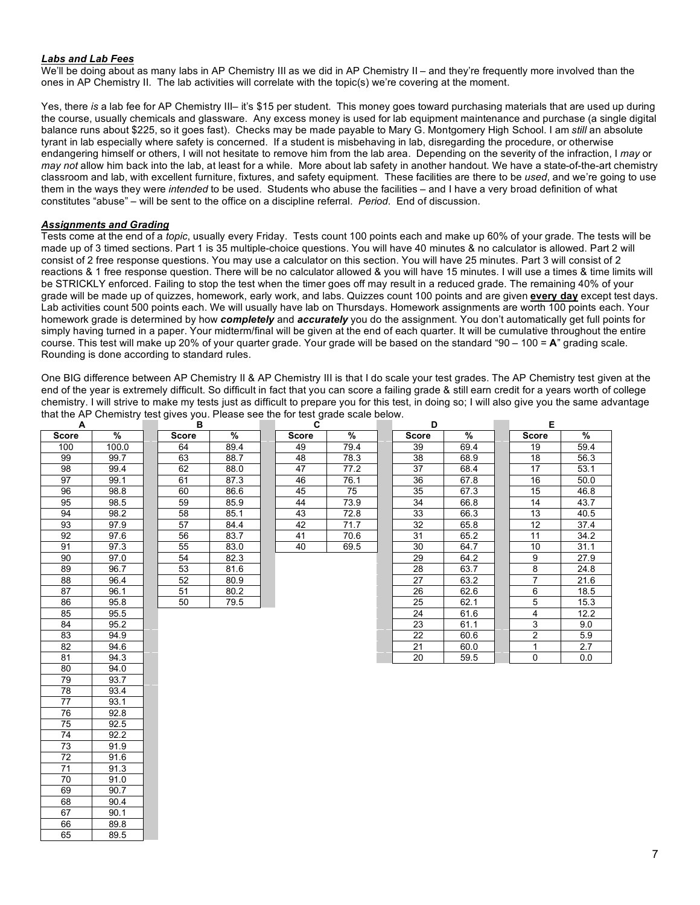#### *Labs and Lab Fees*

We'll be doing about as many labs in AP Chemistry III as we did in AP Chemistry II – and they're frequently more involved than the ones in AP Chemistry II. The lab activities will correlate with the topic(s) we're covering at the moment.

Yes, there *is* a lab fee for AP Chemistry III– it's \$15 per student. This money goes toward purchasing materials that are used up during the course, usually chemicals and glassware. Any excess money is used for lab equipment maintenance and purchase (a single digital balance runs about \$225, so it goes fast). Checks may be made payable to Mary G. Montgomery High School. I am *still* an absolute tyrant in lab especially where safety is concerned. If a student is misbehaving in lab, disregarding the procedure, or otherwise endangering himself or others, I will not hesitate to remove him from the lab area. Depending on the severity of the infraction, I *may* or *may not* allow him back into the lab, at least for a while. More about lab safety in another handout. We have a state-of-the-art chemistry classroom and lab, with excellent furniture, fixtures, and safety equipment. These facilities are there to be *used*, and we're going to use them in the ways they were *intended* to be used. Students who abuse the facilities – and I have a very broad definition of what constitutes "abuse" – will be sent to the office on a discipline referral. *Period*. End of discussion.

## *Assignments and Grading*

73 91.9 72 91.6  $\begin{array}{|c|c|c|c|}\n\hline\n71 & 91.3 \\
\hline\n70 & 91.0\n\end{array}$  $\begin{array}{|c|c|c|c|}\n\hline\n70 & 91.0 \\
\hline\n69 & 90.7\n\end{array}$ 

 $\begin{array}{|c|c|c|}\n 68 & 90.4 \\
 \hline\n 67 & 90.1\n \end{array}$ 

66 89.8 65 89.5

 $90.7$ 

 $90.1$ 

Tests come at the end of a *topic*, usually every Friday. Tests count 100 points each and make up 60% of your grade. The tests will be made up of 3 timed sections. Part 1 is 35 multiple-choice questions. You will have 40 minutes & no calculator is allowed. Part 2 will consist of 2 free response questions. You may use a calculator on this section. You will have 25 minutes. Part 3 will consist of 2 reactions & 1 free response question. There will be no calculator allowed & you will have 15 minutes. I will use a times & time limits will be STRICKLY enforced. Failing to stop the test when the timer goes off may result in a reduced grade. The remaining 40% of your grade will be made up of quizzes, homework, early work, and labs. Quizzes count 100 points and are given **every day** except test days. Lab activities count 500 points each. We will usually have lab on Thursdays. Homework assignments are worth 100 points each. Your homework grade is determined by how *completely* and *accurately* you do the assignment. You don't automatically get full points for simply having turned in a paper. Your midterm/final will be given at the end of each quarter. It will be cumulative throughout the entire course. This test will make up 20% of your quarter grade. Your grade will be based on the standard "90 – 100 = **A**" grading scale. Rounding is done according to standard rules.

One BIG difference between AP Chemistry II & AP Chemistry III is that I do scale your test grades. The AP Chemistry test given at the end of the year is extremely difficult. So difficult in fact that you can score a failing grade & still earn credit for a years worth of college chemistry. I will strive to make my tests just as difficult to prepare you for this test, in doing so; I will also give you the same advantage that the AP Chemistry test gives you. Please see the for test grade scale below.

| A               |       | в            |      | C            |      | D               |      | Е               |      |
|-----------------|-------|--------------|------|--------------|------|-----------------|------|-----------------|------|
| <b>Score</b>    | %     | <b>Score</b> | %    | <b>Score</b> | %    | <b>Score</b>    | %    | <b>Score</b>    | %    |
| 100             | 100.0 | 64           | 89.4 | 49           | 79.4 | 39              | 69.4 | 19              | 59.4 |
| 99              | 99.7  | 63           | 88.7 | 48           | 78.3 | 38              | 68.9 | 18              | 56.3 |
| 98              | 99.4  | 62           | 88.0 | 47           | 77.2 | $\overline{37}$ | 68.4 | $\overline{17}$ | 53.1 |
| 97              | 99.1  | 61           | 87.3 | 46           | 76.1 | 36              | 67.8 | 16              | 50.0 |
| 96              | 98.8  | 60           | 86.6 | 45           | 75   | 35              | 67.3 | 15              | 46.8 |
| 95              | 98.5  | 59           | 85.9 | 44           | 73.9 | 34              | 66.8 | 14              | 43.7 |
| 94              | 98.2  | 58           | 85.1 | 43           | 72.8 | 33              | 66.3 | 13              | 40.5 |
| 93              | 97.9  | 57           | 84.4 | 42           | 71.7 | 32              | 65.8 | 12              | 37.4 |
| 92              | 97.6  | 56           | 83.7 | 41           | 70.6 | 31              | 65.2 | 11              | 34.2 |
| 91              | 97.3  | 55           | 83.0 | 40           | 69.5 | 30              | 64.7 | 10              | 31.1 |
| 90              | 97.0  | 54           | 82.3 |              |      | 29              | 64.2 | 9               | 27.9 |
| 89              | 96.7  | 53           | 81.6 |              |      | 28              | 63.7 | 8               | 24.8 |
| 88              | 96.4  | 52           | 80.9 |              |      | 27              | 63.2 | $\overline{7}$  | 21.6 |
| 87              | 96.1  | 51           | 80.2 |              |      | 26              | 62.6 | 6               | 18.5 |
| 86              | 95.8  | 50           | 79.5 |              |      | 25              | 62.1 | 5               | 15.3 |
| 85              | 95.5  |              |      |              |      | 24              | 61.6 | 4               | 12.2 |
| 84              | 95.2  |              |      |              |      | 23              | 61.1 | 3               | 9.0  |
| 83              | 94.9  |              |      |              |      | 22              | 60.6 | 2               | 5.9  |
| 82              | 94.6  |              |      |              |      | 21              | 60.0 | $\mathbf{1}$    | 2.7  |
| 81              | 94.3  |              |      |              |      | 20              | 59.5 | 0               | 0.0  |
| 80              | 94.0  |              |      |              |      |                 |      |                 |      |
| 79              | 93.7  |              |      |              |      |                 |      |                 |      |
| 78              | 93.4  |              |      |              |      |                 |      |                 |      |
| 77              | 93.1  |              |      |              |      |                 |      |                 |      |
| 76              | 92.8  |              |      |              |      |                 |      |                 |      |
| $\overline{75}$ | 92.5  |              |      |              |      |                 |      |                 |      |
| $\overline{74}$ | 92.2  |              |      |              |      |                 |      |                 |      |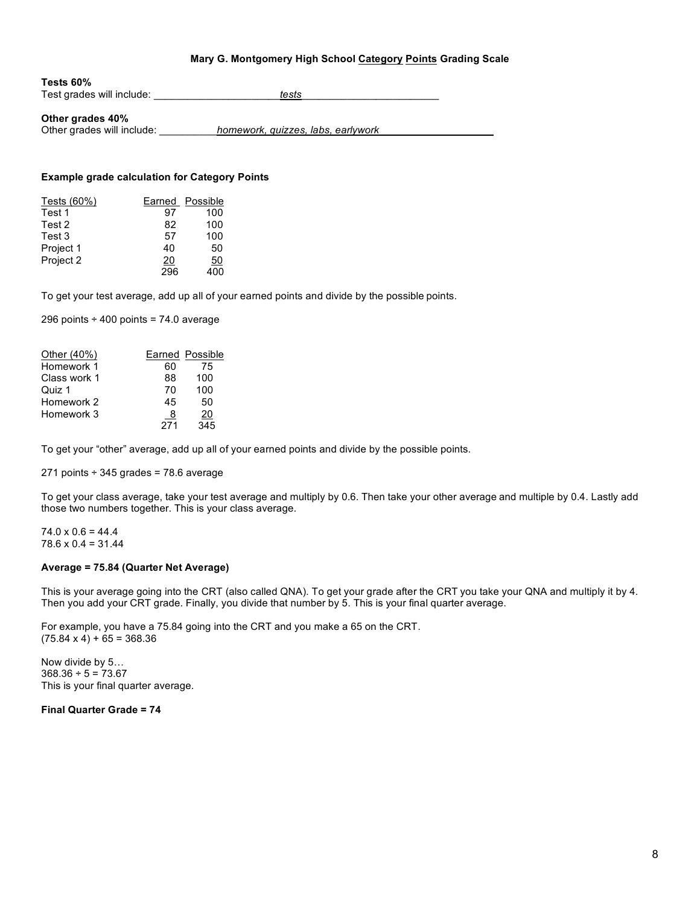#### **Mary G. Montgomery High School Category Points Grading Scale**

| Tests 60%                 |       |  |
|---------------------------|-------|--|
| Test grades will include: | tests |  |

#### **Other grades 40%**

Other grades will include: \_\_\_\_\_\_\_\_\_\_*homework, quizzes, labs, earlywork\_\_\_\_\_\_\_\_\_\_\_\_\_\_\_\_\_\_\_\_*

### **Example grade calculation for Category Points**

| Tests (60%) | Earned         | Possible |
|-------------|----------------|----------|
| Test 1      | 97             | 100      |
| Test 2      | 82             | 100      |
| Test 3      | 57             | 100      |
| Project 1   | 40             | 50       |
| Project 2   | $\frac{20}{2}$ | 50       |
|             | 296            | 400      |

To get your test average, add up all of your earned points and divide by the possible points.

296 points  $\div$  400 points = 74.0 average

| Other (40%)  |     | <b>Earned Possible</b> |
|--------------|-----|------------------------|
| Homework 1   | 60  | 75                     |
| Class work 1 | 88  | 100                    |
| Quiz 1       | 70  | 100                    |
| Homework 2   | 45  | 50                     |
| Homework 3   | 8   | 20                     |
|              | 271 | 345                    |

To get your "other" average, add up all of your earned points and divide by the possible points.

271 points  $\div$  345 grades = 78.6 average

To get your class average, take your test average and multiply by 0.6. Then take your other average and multiple by 0.4. Lastly add those two numbers together. This is your class average.

 $74.0 \times 0.6 = 44.4$  $78.6 \times 0.4 = 31.44$ 

#### **Average = 75.84 (Quarter Net Average)**

This is your average going into the CRT (also called QNA). To get your grade after the CRT you take your QNA and multiply it by 4. Then you add your CRT grade. Finally, you divide that number by 5. This is your final quarter average.

For example, you have a 75.84 going into the CRT and you make a 65 on the CRT.  $(75.84 \times 4) + 65 = 368.36$ 

Now divide by 5…  $368.36 \div 5 = 73.67$ This is your final quarter average.

**Final Quarter Grade = 74**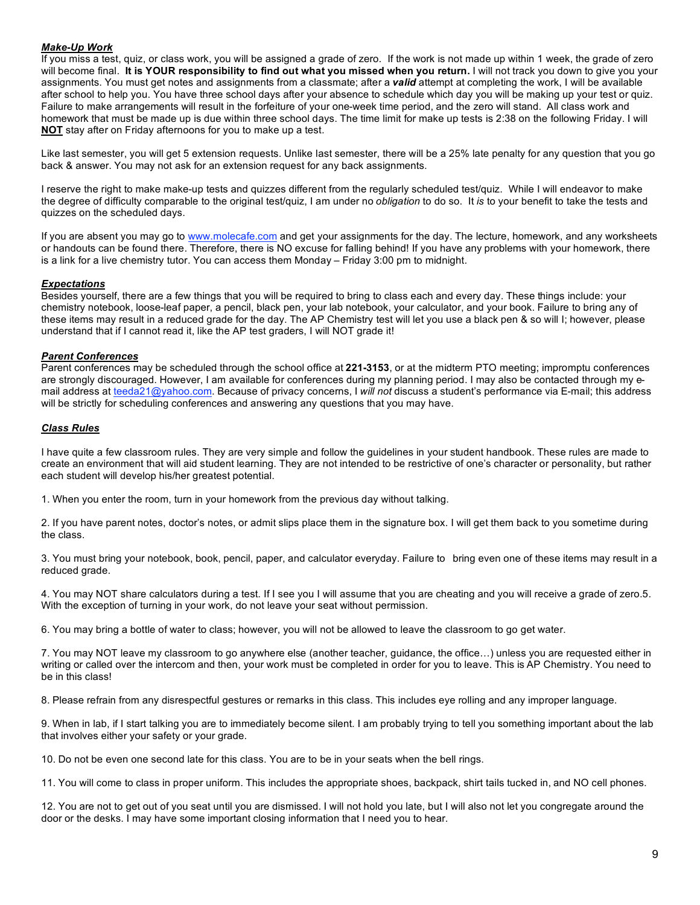## *Make-Up Work*

If you miss a test, quiz, or class work, you will be assigned a grade of zero. If the work is not made up within 1 week, the grade of zero will become final. **It is YOUR responsibility to find out what you missed when you return.** I will not track you down to give you your assignments. You must get notes and assignments from a classmate; after a *valid* attempt at completing the work, I will be available after school to help you. You have three school days after your absence to schedule which day you will be making up your test or quiz. Failure to make arrangements will result in the forfeiture of your one-week time period, and the zero will stand. All class work and homework that must be made up is due within three school days. The time limit for make up tests is 2:38 on the following Friday. I will **NOT** stay after on Friday afternoons for you to make up a test.

Like last semester, you will get 5 extension requests. Unlike last semester, there will be a 25% late penalty for any question that you go back & answer. You may not ask for an extension request for any back assignments.

I reserve the right to make make-up tests and quizzes different from the regularly scheduled test/quiz. While I will endeavor to make the degree of difficulty comparable to the original test/quiz, I am under no *obligation* to do so. It *is* to your benefit to take the tests and quizzes on the scheduled days.

If you are absent you may go to www.molecafe.com and get your assignments for the day. The lecture, homework, and any worksheets or handouts can be found there. Therefore, there is NO excuse for falling behind! If you have any problems with your homework, there is a link for a live chemistry tutor. You can access them Monday – Friday 3:00 pm to midnight.

#### *Expectations*

Besides yourself, there are a few things that you will be required to bring to class each and every day. These things include: your chemistry notebook, loose-leaf paper, a pencil, black pen, your lab notebook, your calculator, and your book. Failure to bring any of these items may result in a reduced grade for the day. The AP Chemistry test will let you use a black pen & so will I; however, please understand that if I cannot read it, like the AP test graders, I will NOT grade it!

#### *Parent Conferences*

Parent conferences may be scheduled through the school office at **221-3153**, or at the midterm PTO meeting; impromptu conferences are strongly discouraged. However, I am available for conferences during my planning period. I may also be contacted through my email address at teeda21@yahoo.com. Because of privacy concerns, I *will not* discuss a student's performance via E-mail; this address will be strictly for scheduling conferences and answering any questions that you may have.

#### *Class Rules*

I have quite a few classroom rules. They are very simple and follow the guidelines in your student handbook. These rules are made to create an environment that will aid student learning. They are not intended to be restrictive of one's character or personality, but rather each student will develop his/her greatest potential.

1. When you enter the room, turn in your homework from the previous day without talking.

2. If you have parent notes, doctor's notes, or admit slips place them in the signature box. I will get them back to you sometime during the class.

3. You must bring your notebook, book, pencil, paper, and calculator everyday. Failure to bring even one of these items may result in a reduced grade.

4. You may NOT share calculators during a test. If I see you I will assume that you are cheating and you will receive a grade of zero.5. With the exception of turning in your work, do not leave your seat without permission.

6. You may bring a bottle of water to class; however, you will not be allowed to leave the classroom to go get water.

7. You may NOT leave my classroom to go anywhere else (another teacher, guidance, the office…) unless you are requested either in writing or called over the intercom and then, your work must be completed in order for you to leave. This is AP Chemistry. You need to be in this class!

8. Please refrain from any disrespectful gestures or remarks in this class. This includes eye rolling and any improper language.

9. When in lab, if I start talking you are to immediately become silent. I am probably trying to tell you something important about the lab that involves either your safety or your grade.

10. Do not be even one second late for this class. You are to be in your seats when the bell rings.

11. You will come to class in proper uniform. This includes the appropriate shoes, backpack, shirt tails tucked in, and NO cell phones.

12. You are not to get out of you seat until you are dismissed. I will not hold you late, but I will also not let you congregate around the door or the desks. I may have some important closing information that I need you to hear.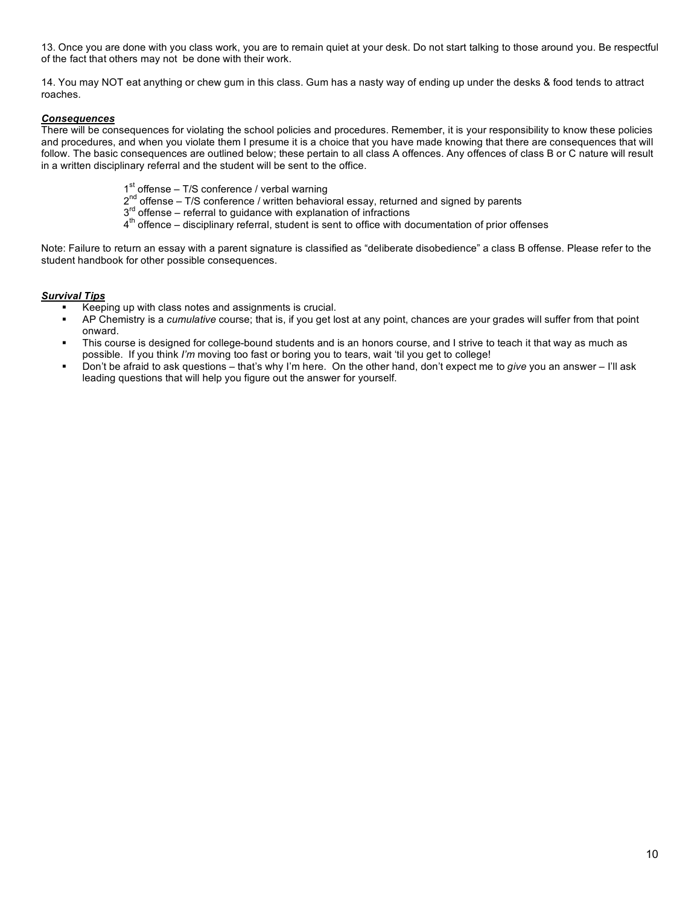13. Once you are done with you class work, you are to remain quiet at your desk. Do not start talking to those around you. Be respectful of the fact that others may not be done with their work.

14. You may NOT eat anything or chew gum in this class. Gum has a nasty way of ending up under the desks & food tends to attract roaches.

## *Consequences*

There will be consequences for violating the school policies and procedures. Remember, it is your responsibility to know these policies and procedures, and when you violate them I presume it is a choice that you have made knowing that there are consequences that will follow. The basic consequences are outlined below; these pertain to all class A offences. Any offences of class B or C nature will result in a written disciplinary referral and the student will be sent to the office.

- $1<sup>st</sup>$  offense T/S conference / verbal warning
- $2^{nd}$  offense T/S conference / written behavioral essay, returned and signed by parents
- $3<sup>rd</sup>$  offense referral to guidance with explanation of infractions
- $4<sup>th</sup>$  offence disciplinary referral, student is sent to office with documentation of prior offenses

Note: Failure to return an essay with a parent signature is classified as "deliberate disobedience" a class B offense. Please refer to the student handbook for other possible consequences.

# *Survival Tips*

- Keeping up with class notes and assignments is crucial.
- AP Chemistry is a *cumulative* course; that is, if you get lost at any point, chances are your grades will suffer from that point onward.
- This course is designed for college-bound students and is an honors course, and I strive to teach it that way as much as possible. If you think *I'm* moving too fast or boring you to tears, wait 'til you get to college!
- Don't be afraid to ask questions that's why I'm here. On the other hand, don't expect me to *give* you an answer I'll ask leading questions that will help you figure out the answer for yourself.